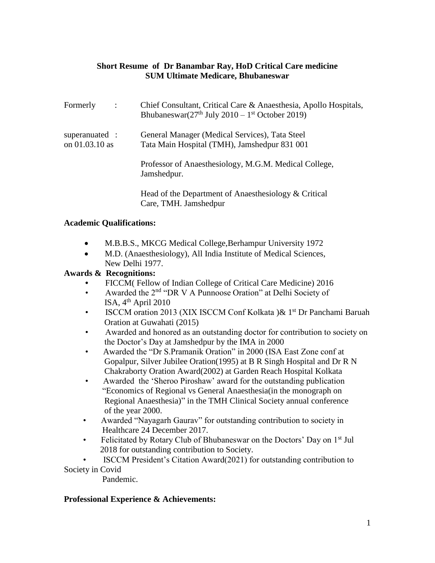## **Short Resume of Dr Banambar Ray, HoD Critical Care medicine SUM Ultimate Medicare, Bhubaneswar**

| Formerly                         | $\cdot$ : | Chief Consultant, Critical Care & Anaesthesia, Apollo Hospitals,<br>Bhubaneswar $(27th$ July 2010 – 1 <sup>st</sup> October 2019) |
|----------------------------------|-----------|-----------------------------------------------------------------------------------------------------------------------------------|
| superanuated :<br>on 01.03.10 as |           | General Manager (Medical Services), Tata Steel<br>Tata Main Hospital (TMH), Jamshedpur 831 001                                    |
|                                  |           | Professor of Anaesthesiology, M.G.M. Medical College,<br>Jamshedpur.                                                              |
|                                  |           | Head of the Department of Anaesthesiology $& Critical$<br>Care, TMH. Jamshedpur                                                   |

#### **Academic Qualifications:**

- M.B.B.S., MKCG Medical College,Berhampur University 1972
- M.D. (Anaesthesiology), All India Institute of Medical Sciences, New Delhi 1977.

#### **Awards & Recognitions:**

- FICCM( Fellow of Indian College of Critical Care Medicine) 2016
- Awarded the 2<sup>nd</sup> "DR V A Punnoose Oration" at Delhi Society of ISA,  $4<sup>th</sup>$  April 2010
- ISCCM oration 2013 (XIX ISCCM Conf Kolkata )& 1<sup>st</sup> Dr Panchami Baruah Oration at Guwahati (2015)
- Awarded and honored as an outstanding doctor for contribution to society on the Doctor's Day at Jamshedpur by the IMA in 2000
- Awarded the "Dr S.Pramanik Oration" in 2000 (ISA East Zone conf at Gopalpur, Silver Jubilee Oration(1995) at B R Singh Hospital and Dr R N Chakraborty Oration Award(2002) at Garden Reach Hospital Kolkata
- Awarded the 'Sheroo Piroshaw' award for the outstanding publication "Economics of Regional vs General Anaesthesia(in the monograph on Regional Anaesthesia)" in the TMH Clinical Society annual conference of the year 2000.
- Awarded "Nayagarh Gaurav" for outstanding contribution to society in Healthcare 24 December 2017.
- Felicitated by Rotary Club of Bhubaneswar on the Doctors' Day on 1<sup>st</sup> Jul 2018 for outstanding contribution to Society.

 • ISCCM President's Citation Award(2021) for outstanding contribution to Society in Covid

Pandemic.

## **Professional Experience & Achievements:**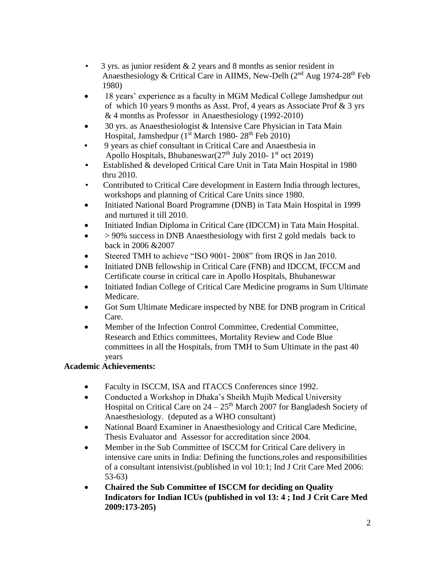- 3 yrs. as junior resident & 2 years and 8 months as senior resident in Anaesthesiology & Critical Care in AIIMS, New-Delh  $(2<sup>nd</sup> Aug 1974-28<sup>th</sup> Feb)$ 1980)
- 18 years' experience as a faculty in MGM Medical College Jamshedpur out of which 10 years 9 months as Asst. Prof, 4 years as Associate Prof & 3 yrs & 4 months as Professor in Anaesthesiology (1992-2010)
- 30 yrs. as Anaesthesiologist & Intensive Care Physician in Tata Main Hospital, Jamshedpur ( $1<sup>st</sup> March 1980-28<sup>th</sup> Feb 2010$ )
- 9 years as chief consultant in Critical Care and Anaesthesia in Apollo Hospitals, Bhubaneswar(27<sup>th</sup> July 2010-1<sup>st</sup> oct 2019)
- **•** Established & developed Critical Care Unit in Tata Main Hospital in 1980 thru 2010.
- Contributed to Critical Care development in Eastern India through lectures, workshops and planning of Critical Care Units since 1980.
- Initiated National Board Programme (DNB) in Tata Main Hospital in 1999 and nurtured it till 2010.
- Initiated Indian Diploma in Critical Care (IDCCM) in Tata Main Hospital.
- > 90% success in DNB Anaesthesiology with first 2 gold medals back to back in 2006 &2007
- Steered TMH to achieve "ISO 9001- 2008" from IRQS in Jan 2010.
- Initiated DNB fellowship in Critical Care (FNB) and IDCCM, IFCCM and Certificate course in critical care in Apollo Hospitals, Bhubaneswar
- Initiated Indian College of Critical Care Medicine programs in Sum Ultimate Medicare.
- Got Sum Ultimate Medicare inspected by NBE for DNB program in Critical Care.
- Member of the Infection Control Committee, Credential Committee, Research and Ethics committees, Mortality Review and Code Blue committees in all the Hospitals, from TMH to Sum Ultimate in the past 40 years

# **Academic Achievements:**

- Faculty in ISCCM, ISA and ITACCS Conferences since 1992.
- Conducted a Workshop in Dhaka's Sheikh Mujib Medical University Hospital on Critical Care on  $24 - 25<sup>th</sup>$  March 2007 for Bangladesh Society of Anaesthesiology. (deputed as a WHO consultant)
- National Board Examiner in Anaesthesiology and Critical Care Medicine, Thesis Evaluator and Assessor for accreditation since 2004.
- Member in the Sub Committee of ISCCM for Critical Care delivery in intensive care units in India: Defining the functions,roles and responsibilities of a consultant intensivist.(published in vol 10:1; Ind J Crit Care Med 2006: 53-63)
- **Chaired the Sub Committee of ISCCM for deciding on Quality Indicators for Indian ICUs (published in vol 13: 4 ; Ind J Crit Care Med 2009:173-205)**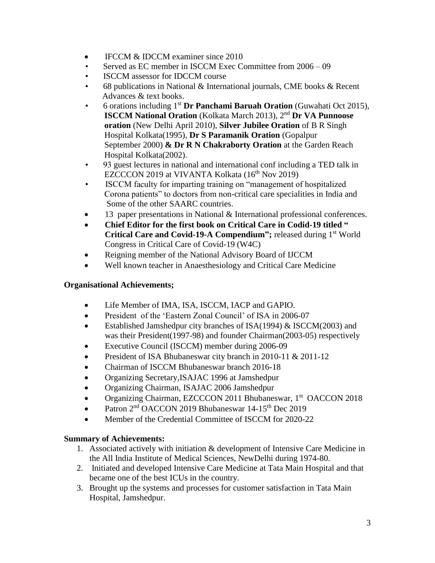- IFCCM & IDCCM examiner since 2010
- Served as EC member in ISCCM Exec Committee from 2006 09
- ISCCM assessor for IDCCM course
- 68 publications in National & International journals, CME books & Recent Advances & text books.
- 6 orations including 1 st **Dr Panchami Baruah Oration** (Guwahati Oct 2015), **ISCCM National Oration** (Kolkata March 2013), 2<sup>nd</sup> Dr VA Punnoose  **oration** (New Delhi April 2010), **Silver Jubilee Oration** of B R Singh Hospital Kolkata(1995), **Dr S Paramanik Oration** (Gopalpur September 2000) **& Dr R N Chakraborty Oration** at the Garden Reach Hospital Kolkata(2002).
	- 93 guest lectures in national and international conf including a TED talk in EZCCCON 2019 at VIVANTA Kolkata (16<sup>th</sup> Nov 2019)
	- ISCCM faculty for imparting training on "management of hospitalized Corona patients" to doctors from non-critical care specialities in India and Some of the other SAARC countries.
	- 13 paper presentations in National & International professional conferences.
	- **Chief Editor for the first book on Critical Care in Codid-19 titled " Critical Care and Covid-19-A Compendium";** released during 1<sup>st</sup> World Congress in Critical Care of Covid-19 (W4C)
	- Reigning member of the National Advisory Board of IJCCM
	- Well known teacher in Anaesthesiology and Critical Care Medicine

# **Organisational Achievements;**

- Life Member of IMA, ISA, ISCCM, IACP and GAPIO.
- President of the 'Eastern Zonal Council' of ISA in 2006-07
- Established Jamshedpur city branches of ISA(1994) & ISCCM(2003) and was their President(1997-98) and founder Chairman(2003-05) respectively
- Executive Council (ISCCM) member during 2006-09
- President of ISA Bhubaneswar city branch in 2010-11 & 2011-12
- Chairman of ISCCM Bhubaneswar branch 2016-18
- Organizing Secretary,ISAJAC 1996 at Jamshedpur
- Organizing Chairman, ISAJAC 2006 Jamshedpur
- Organizing Chairman, EZCCCON 2011 Bhubaneswar, 1<sup>st</sup> OACCON 2018
- Patron  $2<sup>nd</sup>$  OACCON 2019 Bhubaneswar 14-15<sup>th</sup> Dec 2019
- Member of the Credential Committee of ISCCM for 2020-22

## **Summary of Achievements:**

- 1. Associated actively with initiation & development of Intensive Care Medicine in the All India Institute of Medical Sciences, NewDelhi during 1974-80.
- 2. Initiated and developed Intensive Care Medicine at Tata Main Hospital and that became one of the best ICUs in the country.
- 3. Brought up the systems and processes for customer satisfaction in Tata Main Hospital, Jamshedpur.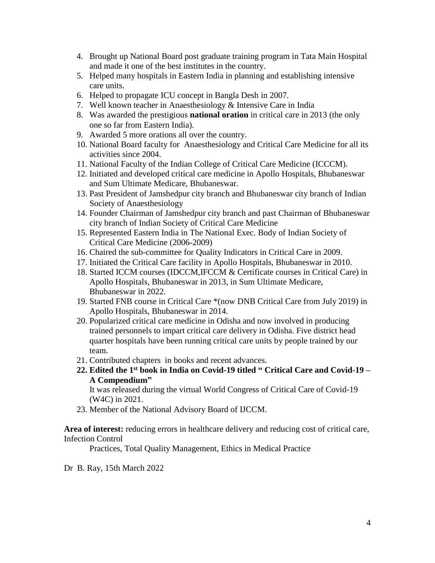- 4. Brought up National Board post graduate training program in Tata Main Hospital and made it one of the best institutes in the country.
- 5. Helped many hospitals in Eastern India in planning and establishing intensive care units.
- 6. Helped to propagate ICU concept in Bangla Desh in 2007.
- 7. Well known teacher in Anaesthesiology & Intensive Care in India
- 8. Was awarded the prestigious **national oration** in critical care in 2013 (the only one so far from Eastern India).
- 9. Awarded 5 more orations all over the country.
- 10. National Board faculty for Anaesthesiology and Critical Care Medicine for all its activities since 2004.
- 11. National Faculty of the Indian College of Critical Care Medicine (ICCCM).
- 12. Initiated and developed critical care medicine in Apollo Hospitals, Bhubaneswar and Sum Ultimate Medicare, Bhubaneswar.
- 13. Past President of Jamshedpur city branch and Bhubaneswar city branch of Indian Society of Anaesthesiology
- 14. Founder Chairman of Jamshedpur city branch and past Chairman of Bhubaneswar city branch of Indian Society of Critical Care Medicine
- 15. Represented Eastern India in The National Exec. Body of Indian Society of Critical Care Medicine (2006-2009)
- 16. Chaired the sub-committee for Quality Indicators in Critical Care in 2009.
- 17. Initiated the Critical Care facility in Apollo Hospitals, Bhubaneswar in 2010.
- 18. Started ICCM courses (IDCCM,IFCCM & Certificate courses in Critical Care) in Apollo Hospitals, Bhubaneswar in 2013, in Sum Ultimate Medicare, Bhubaneswar in 2022.
- 19. Started FNB course in Critical Care \*(now DNB Critical Care from July 2019) in Apollo Hospitals, Bhubaneswar in 2014.
- 20. Popularized critical care medicine in Odisha and now involved in producing trained personnels to impart critical care delivery in Odisha. Five district head quarter hospitals have been running critical care units by people trained by our team.
- 21. Contributed chapters in books and recent advances.
- **22. Edited the 1st book in India on Covid-19 titled " Critical Care and Covid-19 – A Compendium"**

It was released during the virtual World Congress of Critical Care of Covid-19 (W4C) in 2021.

23. Member of the National Advisory Board of IJCCM.

**Area of interest:** reducing errors in healthcare delivery and reducing cost of critical care, Infection Control

Practices, Total Quality Management, Ethics in Medical Practice

Dr B. Ray, 15th March 2022